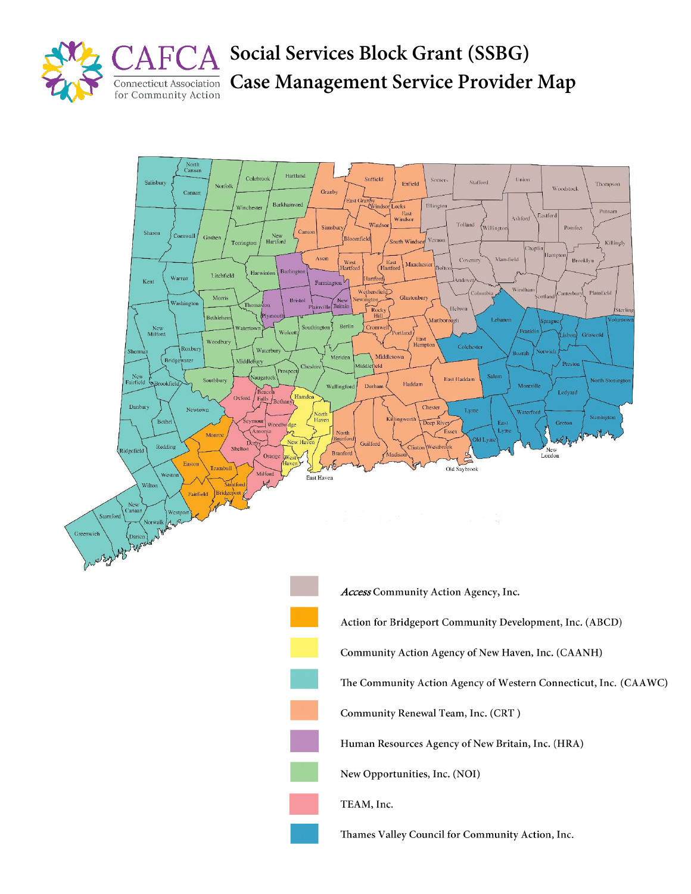

**Social Services Block Grant (SSBG) Case Management Service Provider Map**